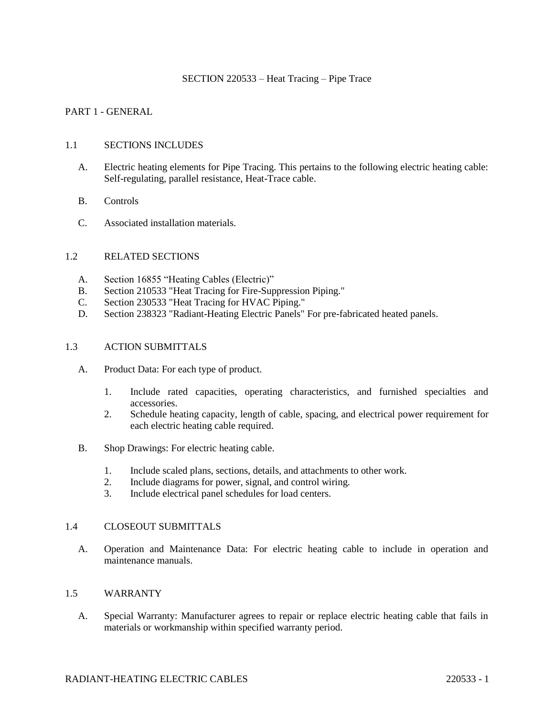### SECTION 220533 – Heat Tracing – Pipe Trace

## PART 1 - GENERAL

### 1.1 SECTIONS INCLUDES

- A. Electric heating elements for Pipe Tracing. This pertains to the following electric heating cable: Self-regulating, parallel resistance, Heat-Trace cable.
- B. Controls
- C. Associated installation materials.

### 1.2 RELATED SECTIONS

- A. Section 16855 "Heating Cables (Electric)"
- B. Section 210533 "Heat Tracing for Fire-Suppression Piping."
- C. Section 230533 "Heat Tracing for HVAC Piping."
- D. Section 238323 "Radiant-Heating Electric Panels" For pre-fabricated heated panels.

### 1.3 ACTION SUBMITTALS

- A. Product Data: For each type of product.
	- 1. Include rated capacities, operating characteristics, and furnished specialties and accessories.
	- 2. Schedule heating capacity, length of cable, spacing, and electrical power requirement for each electric heating cable required.
- B. Shop Drawings: For electric heating cable.
	- 1. Include scaled plans, sections, details, and attachments to other work.
	- 2. Include diagrams for power, signal, and control wiring.
	- 3. Include electrical panel schedules for load centers.

### 1.4 CLOSEOUT SUBMITTALS

A. Operation and Maintenance Data: For electric heating cable to include in operation and maintenance manuals.

### 1.5 WARRANTY

A. Special Warranty: Manufacturer agrees to repair or replace electric heating cable that fails in materials or workmanship within specified warranty period.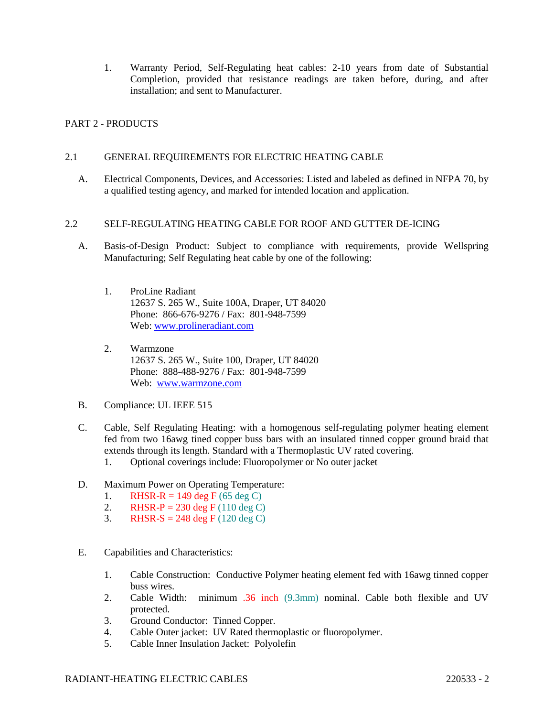1. Warranty Period, Self-Regulating heat cables: 2-10 years from date of Substantial Completion, provided that resistance readings are taken before, during, and after installation; and sent to Manufacturer.

## PART 2 - PRODUCTS

## 2.1 GENERAL REQUIREMENTS FOR ELECTRIC HEATING CABLE

A. Electrical Components, Devices, and Accessories: Listed and labeled as defined in NFPA 70, by a qualified testing agency, and marked for intended location and application.

## 2.2 SELF-REGULATING HEATING CABLE FOR ROOF AND GUTTER DE-ICING

- A. Basis-of-Design Product: Subject to compliance with requirements, provide Wellspring Manufacturing; Self Regulating heat cable by one of the following:
	- 1. ProLine Radiant 12637 S. 265 W., Suite 100A, Draper, UT 84020 Phone: 866-676-9276 / Fax: 801-948-7599 Web: [www.prolineradiant.com](http://www.prolineradiant.com/)
	- 2. Warmzone 12637 S. 265 W., Suite 100, Draper, UT 84020 Phone: 888-488-9276 / Fax: 801-948-7599 Web: [www.warmzone.com](http://www.warmzone.com/)
- B. Compliance: UL IEEE 515
- C. Cable, Self Regulating Heating: with a homogenous self-regulating polymer heating element fed from two 16awg tined copper buss bars with an insulated tinned copper ground braid that extends through its length. Standard with a Thermoplastic UV rated covering.
	- 1. Optional coverings include: Fluoropolymer or No outer jacket
- D. Maximum Power on Operating Temperature:
	- 1. RHSR-R = 149 deg F (65 deg C)
	- 2. RHSR-P = 230 deg F (110 deg C)
	- 3. RHSR-S = 248 deg F (120 deg C)
- E. Capabilities and Characteristics:
	- 1. Cable Construction: Conductive Polymer heating element fed with 16awg tinned copper buss wires.
	- 2. Cable Width: minimum .36 inch (9.3mm) nominal. Cable both flexible and UV protected.
	- 3. Ground Conductor: Tinned Copper.
	- 4. Cable Outer jacket: UV Rated thermoplastic or fluoropolymer.
	- 5. Cable Inner Insulation Jacket: Polyolefin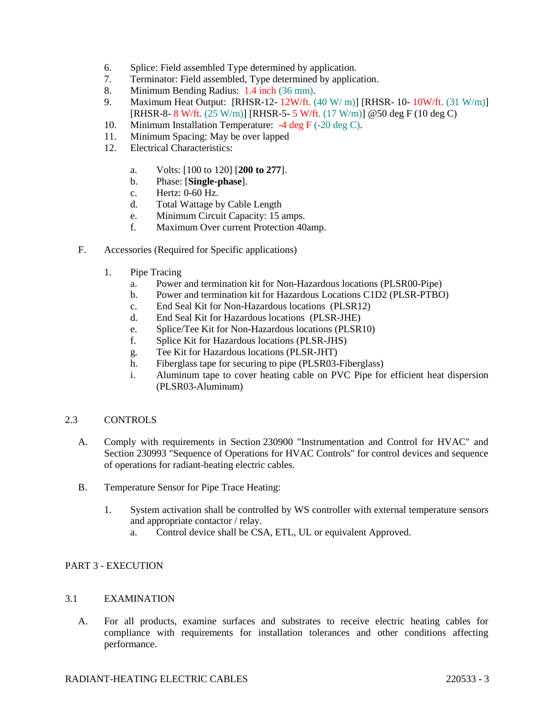- 6. Splice: Field assembled Type determined by application.
- 7. Terminator: Field assembled, Type determined by application.
- 8. Minimum Bending Radius: 1.4 inch (36 mm).
- 9. Maximum Heat Output: [RHSR-12- 12W/ft. (40 W/ m)] [RHSR- 10- 10W/ft. (31 W/m)] [RHSR-8- 8 W/ft. (25 W/m)] [RHSR-5- 5 W/ft. (17 W/m)] @50 deg F (10 deg C)
- 10. Minimum Installation Temperature: -4 deg F (-20 deg C).
- 11. Minimum Spacing: May be over lapped
- 12. Electrical Characteristics:
	- a. Volts: [100 to 120] [**200 to 277**].
	- b. Phase: [**Single-phase**].
	- c. Hertz: 0-60 Hz.
	- d. Total Wattage by Cable Length
	- e. Minimum Circuit Capacity: 15 amps.
	- f. Maximum Over current Protection 40amp.
- F. Accessories (Required for Specific applications)
	- 1. Pipe Tracing
		- a. Power and termination kit for Non-Hazardous locations (PLSR00-Pipe)
		- b. Power and termination kit for Hazardous Locations C1D2 (PLSR-PTBO)
		- c. End Seal Kit for Non-Hazardous locations (PLSR12)
		- d. End Seal Kit for Hazardous locations (PLSR-JHE)
		- e. Splice/Tee Kit for Non-Hazardous locations (PLSR10)
		- f. Splice Kit for Hazardous locations (PLSR-JHS)
		- g. Tee Kit for Hazardous locations (PLSR-JHT)
		- h. Fiberglass tape for securing to pipe (PLSR03-Fiberglass)
		- i. Aluminum tape to cover heating cable on PVC Pipe for efficient heat dispersion (PLSR03-Aluminum)

## 2.3 CONTROLS

- A. Comply with requirements in Section 230900 "Instrumentation and Control for HVAC" and Section 230993 "Sequence of Operations for HVAC Controls" for control devices and sequence of operations for radiant-heating electric cables.
- B. Temperature Sensor for Pipe Trace Heating:
	- 1. System activation shall be controlled by WS controller with external temperature sensors and appropriate contactor / relay.
		- a. Control device shall be CSA, ETL, UL or equivalent Approved.

## PART 3 - EXECUTION

## 3.1 EXAMINATION

A. For all products, examine surfaces and substrates to receive electric heating cables for compliance with requirements for installation tolerances and other conditions affecting performance.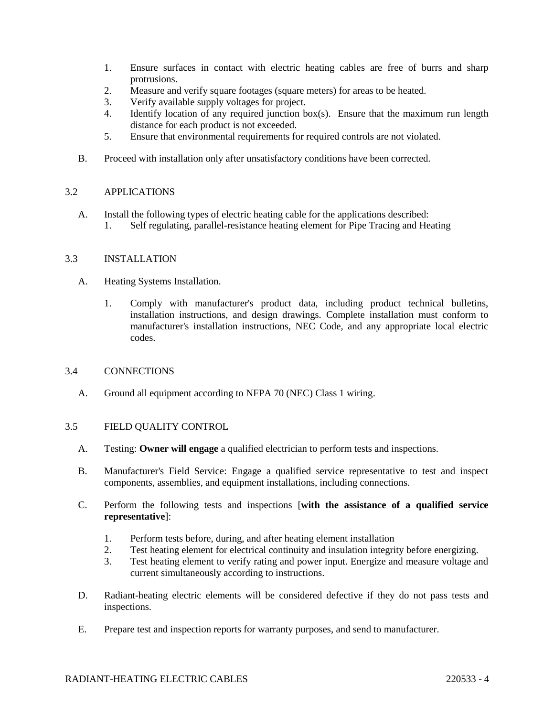- 1. Ensure surfaces in contact with electric heating cables are free of burrs and sharp protrusions.
- 2. Measure and verify square footages (square meters) for areas to be heated.
- 3. Verify available supply voltages for project.
- 4. Identify location of any required junction box(s). Ensure that the maximum run length distance for each product is not exceeded.
- 5. Ensure that environmental requirements for required controls are not violated.
- B. Proceed with installation only after unsatisfactory conditions have been corrected.

## 3.2 APPLICATIONS

A. Install the following types of electric heating cable for the applications described: 1. Self regulating, parallel-resistance heating element for Pipe Tracing and Heating

## 3.3 INSTALLATION

- A. Heating Systems Installation.
	- 1. Comply with manufacturer's product data, including product technical bulletins, installation instructions, and design drawings. Complete installation must conform to manufacturer's installation instructions, NEC Code, and any appropriate local electric codes.

## 3.4 CONNECTIONS

A. Ground all equipment according to NFPA 70 (NEC) Class 1 wiring.

## 3.5 FIELD QUALITY CONTROL

- A. Testing: **Owner will engage** a qualified electrician to perform tests and inspections.
- B. Manufacturer's Field Service: Engage a qualified service representative to test and inspect components, assemblies, and equipment installations, including connections.
- C. Perform the following tests and inspections [**with the assistance of a qualified service representative**]:
	- 1. Perform tests before, during, and after heating element installation
	- 2. Test heating element for electrical continuity and insulation integrity before energizing.
	- 3. Test heating element to verify rating and power input. Energize and measure voltage and current simultaneously according to instructions.
- D. Radiant-heating electric elements will be considered defective if they do not pass tests and inspections.
- E. Prepare test and inspection reports for warranty purposes, and send to manufacturer.